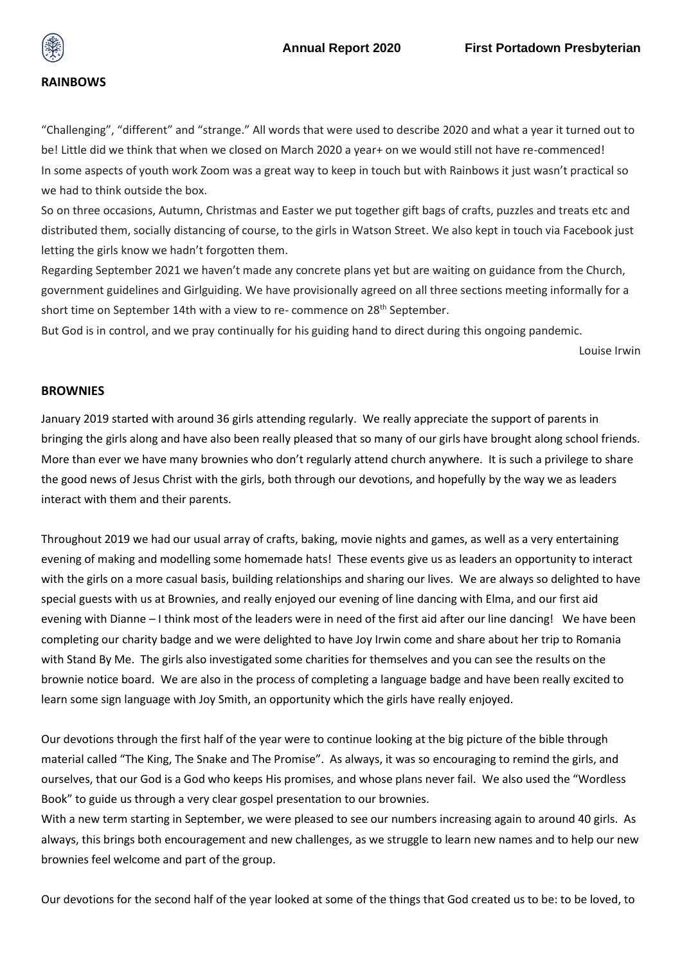

## **RAINBOWS**

"Challenging", "different" and "strange." All words that were used to describe 2020 and what a year it turned out to be! Little did we think that when we closed on March 2020 a year+ on we would still not have re-commenced! In some aspects of youth work Zoom was a great way to keep in touch but with Rainbows it just wasn't practical so we had to think outside the box.

So on three occasions, Autumn, Christmas and Easter we put together gift bags of crafts, puzzles and treats etc and distributed them, socially distancing of course, to the girls in Watson Street. We also kept in touch via Facebook just letting the girls know we hadn't forgotten them.

Regarding September 2021 we haven't made any concrete plans yet but are waiting on guidance from the Church, government guidelines and Girlguiding. We have provisionally agreed on all three sections meeting informally for a short time on September 14th with a view to re- commence on 28<sup>th</sup> September.

But God is in control, and we pray continually for his guiding hand to direct during this ongoing pandemic.

Louise Irwin

## **BROWNIES**

January 2019 started with around 36 girls attending regularly. We really appreciate the support of parents in bringing the girls along and have also been really pleased that so many of our girls have brought along school friends. More than ever we have many brownies who don't regularly attend church anywhere. It is such a privilege to share the good news of Jesus Christ with the girls, both through our devotions, and hopefully by the way we as leaders interact with them and their parents.

Throughout 2019 we had our usual array of crafts, baking, movie nights and games, as well as a very entertaining evening of making and modelling some homemade hats! These events give us as leaders an opportunity to interact with the girls on a more casual basis, building relationships and sharing our lives. We are always so delighted to have special guests with us at Brownies, and really enjoyed our evening of line dancing with Elma, and our first aid evening with Dianne – I think most of the leaders were in need of the first aid after our line dancing! We have been completing our charity badge and we were delighted to have Joy Irwin come and share about her trip to Romania with Stand By Me. The girls also investigated some charities for themselves and you can see the results on the brownie notice board. We are also in the process of completing a language badge and have been really excited to learn some sign language with Joy Smith, an opportunity which the girls have really enjoyed.

Our devotions through the first half of the year were to continue looking at the big picture of the bible through material called "The King, The Snake and The Promise". As always, it was so encouraging to remind the girls, and ourselves, that our God is a God who keeps His promises, and whose plans never fail. We also used the "Wordless Book" to guide us through a very clear gospel presentation to our brownies.

With a new term starting in September, we were pleased to see our numbers increasing again to around 40 girls. As always, this brings both encouragement and new challenges, as we struggle to learn new names and to help our new brownies feel welcome and part of the group.

Our devotions for the second half of the year looked at some of the things that God created us to be: to be loved, to